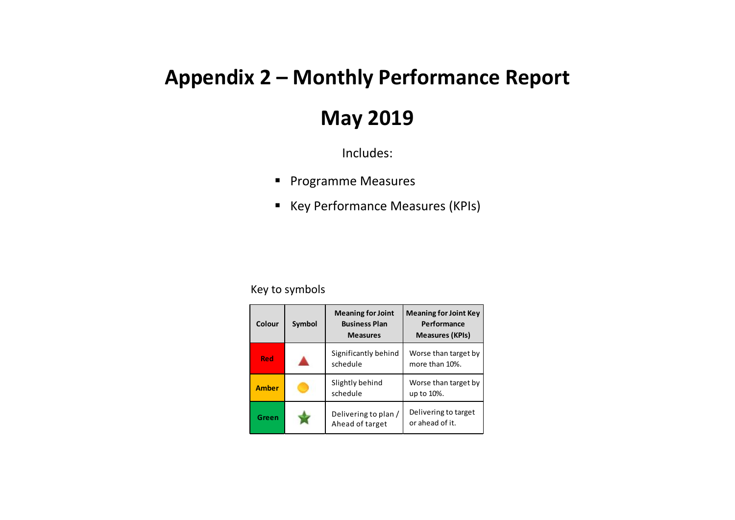## **Appendix 2 – Monthly Performance Report**

## **May 2019**

Includes:

- **Programme Measures**
- Key Performance Measures (KPIs)

## Key to symbols

| Colour       | Symbol | <b>Meaning for Joint</b><br><b>Business Plan</b><br><b>Measures</b> | <b>Meaning for Joint Key</b><br>Performance<br><b>Measures (KPIs)</b> |
|--------------|--------|---------------------------------------------------------------------|-----------------------------------------------------------------------|
| <b>Red</b>   |        | Significantly behind<br>schedule                                    | Worse than target by<br>more than 10%.                                |
| <b>Amber</b> |        | Slightly behind<br>schedule                                         | Worse than target by<br>up to 10%.                                    |
| Green        |        | Delivering to plan /<br>Ahead of target                             | Delivering to target<br>or ahead of it.                               |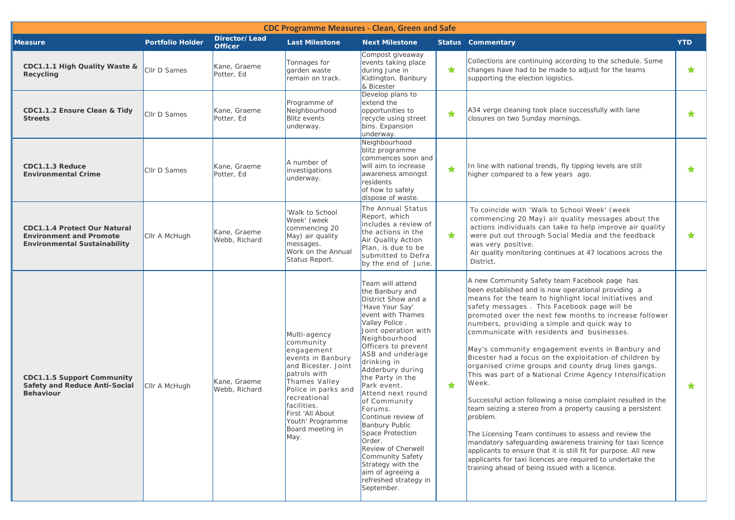| <b>CDC Programme Measures - Clean, Green and Safe</b>                                                        |                         |                                 |                                                                                                                                                                                                                                                |                                                                                                                                                                                                                                                                                                                                                                                                                                                                                                                                        |            |                                                                                                                                                                                                                                                                                                                                                                                                                                                                                                                                                                                                                                                                                                                                                                                                                                                                                                                                                                                                                                                                     |            |  |  |
|--------------------------------------------------------------------------------------------------------------|-------------------------|---------------------------------|------------------------------------------------------------------------------------------------------------------------------------------------------------------------------------------------------------------------------------------------|----------------------------------------------------------------------------------------------------------------------------------------------------------------------------------------------------------------------------------------------------------------------------------------------------------------------------------------------------------------------------------------------------------------------------------------------------------------------------------------------------------------------------------------|------------|---------------------------------------------------------------------------------------------------------------------------------------------------------------------------------------------------------------------------------------------------------------------------------------------------------------------------------------------------------------------------------------------------------------------------------------------------------------------------------------------------------------------------------------------------------------------------------------------------------------------------------------------------------------------------------------------------------------------------------------------------------------------------------------------------------------------------------------------------------------------------------------------------------------------------------------------------------------------------------------------------------------------------------------------------------------------|------------|--|--|
| <b>Measure</b>                                                                                               | <b>Portfolio Holder</b> | Director/Lead<br><b>Officer</b> | <b>Last Milestone</b>                                                                                                                                                                                                                          | <b>Next Milestone</b>                                                                                                                                                                                                                                                                                                                                                                                                                                                                                                                  |            | <b>Status Commentary</b>                                                                                                                                                                                                                                                                                                                                                                                                                                                                                                                                                                                                                                                                                                                                                                                                                                                                                                                                                                                                                                            | <b>YTD</b> |  |  |
| CDC1.1.1 High Quality Waste &<br>Recycling                                                                   | Cllr D Sames            | Kane, Graeme<br>Potter, Ed      | Tonnages for<br>garden waste<br>remain on track.                                                                                                                                                                                               | Compost giveaway<br>events taking place<br>during June in<br>Kidlington, Banbury<br>& Bicester                                                                                                                                                                                                                                                                                                                                                                                                                                         | $\bigstar$ | Collections are continuing according to the schedule. Some<br>changes have had to be made to adjust for the teams<br>supporting the election logistics.                                                                                                                                                                                                                                                                                                                                                                                                                                                                                                                                                                                                                                                                                                                                                                                                                                                                                                             | ★          |  |  |
| CDC1.1.2 Ensure Clean & Tidy<br><b>Streets</b>                                                               | Cllr D Sames            | Kane, Graeme<br>Potter, Ed      | Programme of<br>Neighbourhood<br><b>Blitz events</b><br>underway.                                                                                                                                                                              | Develop plans to<br>extend the<br>opportunities to<br>recycle using street<br>bins. Expansion<br>underway.                                                                                                                                                                                                                                                                                                                                                                                                                             | ★          | A34 verge cleaning took place successfully with lane<br>closures on two Sunday mornings.                                                                                                                                                                                                                                                                                                                                                                                                                                                                                                                                                                                                                                                                                                                                                                                                                                                                                                                                                                            | ★          |  |  |
| CDC1.1.3 Reduce<br><b>Environmental Crime</b>                                                                | Cllr D Sames            | Kane, Graeme<br>Potter, Ed      | A number of<br>investigations<br>underway.                                                                                                                                                                                                     | Neighbourhood<br>blitz programme<br>commences soon and<br>will aim to increase<br>awareness amongst<br>residents<br>of how to safely<br>dispose of waste.                                                                                                                                                                                                                                                                                                                                                                              | ★          | In line with national trends, fly tipping levels are still<br>higher compared to a few years ago.                                                                                                                                                                                                                                                                                                                                                                                                                                                                                                                                                                                                                                                                                                                                                                                                                                                                                                                                                                   | ★          |  |  |
| <b>CDC1.1.4 Protect Our Natural</b><br><b>Environment and Promote</b><br><b>Environmental Sustainability</b> | Cllr A McHugh           | Kane, Graeme<br>Webb, Richard   | Walk to School<br>Week' (week<br>commencing 20<br>May) air quality<br>messages.<br>Work on the Annual<br>Status Report.                                                                                                                        | The Annual Status<br>Report, which<br>includes a review of<br>the actions in the<br>Air Quality Action<br>Plan, is due to be<br>submitted to Defra<br>by the end of June.                                                                                                                                                                                                                                                                                                                                                              | $\bigstar$ | To coincide with 'Walk to School Week' (week<br>commencing 20 May) air quality messages about the<br>actions individuals can take to help improve air quality<br>were put out through Social Media and the feedback<br>was very positive.<br>Air quality monitoring continues at 47 locations across the<br>District.                                                                                                                                                                                                                                                                                                                                                                                                                                                                                                                                                                                                                                                                                                                                               | *          |  |  |
| <b>CDC1.1.5 Support Community</b><br><b>Safety and Reduce Anti-Social</b><br><b>Behaviour</b>                | Cllr A McHugh           | Kane, Graeme<br>Webb, Richard   | Multi-agency<br>community<br>engagement<br>events in Banbury<br>and Bicester. Joint<br>patrols with<br>Thames Valley<br>Police in parks and<br>recreational<br>facilities.<br>First 'All About<br>Youth' Programme<br>Board meeting in<br>May. | Team will attend<br>the Banbury and<br>District Show and a<br>'Have Your Say'<br>event with Thames<br>Valley Police.<br>Joint operation with<br>Neighbourhood<br>Officers to prevent<br>ASB and underage<br>drinking in<br>Adderbury during<br>the Party in the<br>Park event.<br>Attend next round<br>of Community<br>Forums.<br>Continue review of<br><b>Banbury Public</b><br>Space Protection<br>Order.<br>Review of Cherwell<br>Community Safety<br>Strategy with the<br>aim of agreeing a<br>refreshed strategy in<br>September. | ★          | A new Community Safety team Facebook page has<br>been established and is now operational providing a<br>means for the team to highlight local initiatives and<br>safety messages. This Facebook page will be<br>promoted over the next few months to increase follower<br>numbers, providing a simple and quick way to<br>communicate with residents and businesses.<br>May's community engagement events in Banbury and<br>Bicester had a focus on the exploitation of children by<br>organised crime groups and county drug lines gangs.<br>This was part of a National Crime Agency Intensification<br>Week.<br>Successful action following a noise complaint resulted in the<br>team seizing a stereo from a property causing a persistent<br>problem.<br>The Licensing Team continues to assess and review the<br>mandatory safeguarding awareness training for taxi licence<br>applicants to ensure that it is still fit for purpose. All new<br>applicants for taxi licences are required to undertake the<br>training ahead of being issued with a licence. | $\star$    |  |  |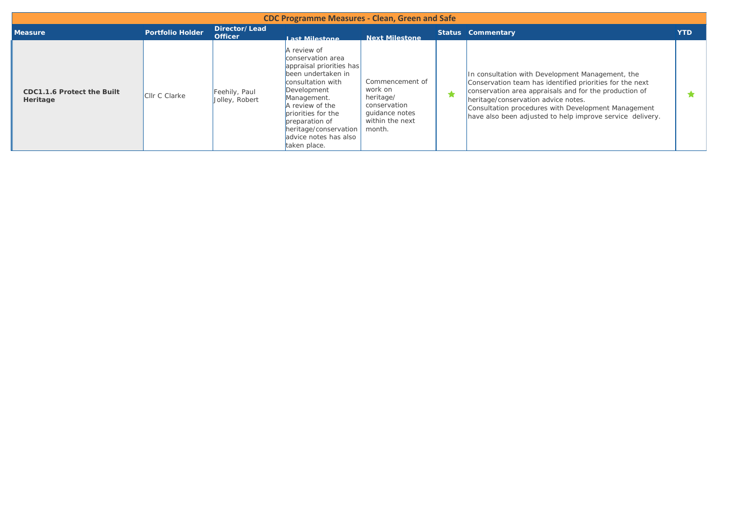| <b>CDC Programme Measures - Clean, Green and Safe</b> |                         |                                 |                                                                                                                                                                                                                                                                    |                                                                                                        |  |                                                                                                                                                                                                                                                                                                                                   |            |  |  |
|-------------------------------------------------------|-------------------------|---------------------------------|--------------------------------------------------------------------------------------------------------------------------------------------------------------------------------------------------------------------------------------------------------------------|--------------------------------------------------------------------------------------------------------|--|-----------------------------------------------------------------------------------------------------------------------------------------------------------------------------------------------------------------------------------------------------------------------------------------------------------------------------------|------------|--|--|
| <b>Measure</b>                                        | <b>Portfolio Holder</b> | Director/Lead<br><b>Officer</b> | Last Milestone                                                                                                                                                                                                                                                     | <b>Next Milestone</b>                                                                                  |  | <b>Status Commentary</b>                                                                                                                                                                                                                                                                                                          | <b>YTD</b> |  |  |
| CDC1.1.6 Protect the Built<br>Heritage                | Cllr C Clarke           | Feehily, Paul<br>Jolley, Robert | A review of<br>conservation area<br>appraisal priorities has<br>been undertaken in<br>consultation with<br>Development<br>Management.<br>A review of the<br>priorities for the<br>preparation of<br>heritage/conservation<br>advice notes has also<br>taken place. | Commencement of<br>work on<br>heritage/<br>conservation<br>quidance notes<br>within the next<br>month. |  | In consultation with Development Management, the<br>Conservation team has identified priorities for the next<br>conservation area appraisals and for the production of<br>heritage/conservation advice notes.<br>Consultation procedures with Development Management<br>have also been adjusted to help improve service delivery. |            |  |  |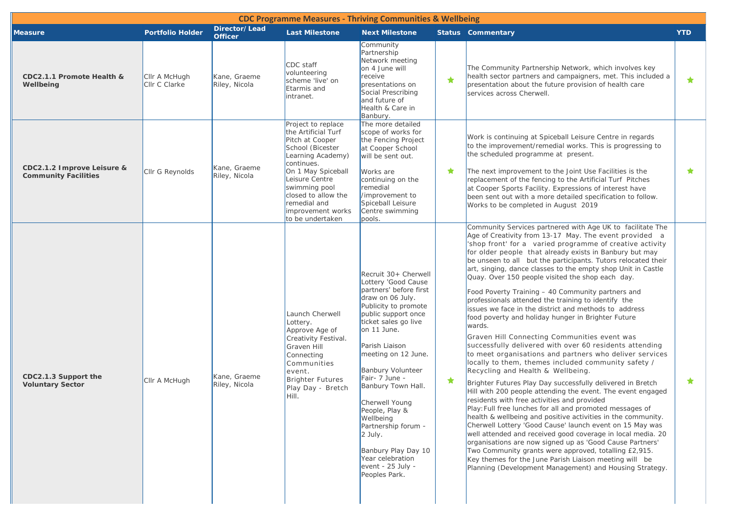|                                                           |                                |                                 | <b>CDC Programme Measures - Thriving Communities &amp; Wellbeing</b>                                                                                                                                                                                         |                                                                                                                                                                                                                                                                                                                                                                                                                                                                  |   |                                                                                                                                                                                                                                                                                                                                                                                                                                                                                                                                                                                                                                                                                                                                                                                                                                                                                                                                                                                                                                                                                                                                                                                                                                                                                                                                                                                                                                                                                                                                                                                                                       |            |
|-----------------------------------------------------------|--------------------------------|---------------------------------|--------------------------------------------------------------------------------------------------------------------------------------------------------------------------------------------------------------------------------------------------------------|------------------------------------------------------------------------------------------------------------------------------------------------------------------------------------------------------------------------------------------------------------------------------------------------------------------------------------------------------------------------------------------------------------------------------------------------------------------|---|-----------------------------------------------------------------------------------------------------------------------------------------------------------------------------------------------------------------------------------------------------------------------------------------------------------------------------------------------------------------------------------------------------------------------------------------------------------------------------------------------------------------------------------------------------------------------------------------------------------------------------------------------------------------------------------------------------------------------------------------------------------------------------------------------------------------------------------------------------------------------------------------------------------------------------------------------------------------------------------------------------------------------------------------------------------------------------------------------------------------------------------------------------------------------------------------------------------------------------------------------------------------------------------------------------------------------------------------------------------------------------------------------------------------------------------------------------------------------------------------------------------------------------------------------------------------------------------------------------------------------|------------|
| <b>Measure</b>                                            | <b>Portfolio Holder</b>        | Director/Lead<br><b>Officer</b> | <b>Last Milestone</b>                                                                                                                                                                                                                                        | <b>Next Milestone</b>                                                                                                                                                                                                                                                                                                                                                                                                                                            |   | <b>Status Commentary</b>                                                                                                                                                                                                                                                                                                                                                                                                                                                                                                                                                                                                                                                                                                                                                                                                                                                                                                                                                                                                                                                                                                                                                                                                                                                                                                                                                                                                                                                                                                                                                                                              | <b>YTD</b> |
| CDC2.1.1 Promote Health &<br>Wellbeing                    | Cllr A McHugh<br>Cllr C Clarke | Kane, Graeme<br>Riley, Nicola   | CDC staff<br>volunteering<br>scheme 'live' on<br>Etarmis and<br>intranet.                                                                                                                                                                                    | Community<br>Partnership<br>Network meeting<br>on 4 June will<br>receive<br>presentations on<br>Social Prescribing<br>and future of<br>Health & Care in<br>Banbury.                                                                                                                                                                                                                                                                                              | ★ | The Community Partnership Network, which involves key<br>health sector partners and campaigners, met. This included a<br>presentation about the future provision of health care<br>services across Cherwell.                                                                                                                                                                                                                                                                                                                                                                                                                                                                                                                                                                                                                                                                                                                                                                                                                                                                                                                                                                                                                                                                                                                                                                                                                                                                                                                                                                                                          | $\star$    |
| CDC2.1.2 Improve Leisure &<br><b>Community Facilities</b> | Cllr G Reynolds                | Kane, Graeme<br>Riley, Nicola   | Project to replace<br>the Artificial Turf<br>Pitch at Cooper<br>School (Bicester<br>Learning Academy)<br>continues.<br>On 1 May Spiceball<br>Leisure Centre<br>swimming pool<br>closed to allow the<br>remedial and<br>improvement works<br>to be undertaken | The more detailed<br>scope of works for<br>the Fencing Project<br>at Cooper School<br>will be sent out.<br>Works are<br>continuing on the<br>remedial<br>/improvement to<br>Spiceball Leisure<br>Centre swimming<br>pools.                                                                                                                                                                                                                                       | ★ | Work is continuing at Spiceball Leisure Centre in regards<br>to the improvement/remedial works. This is progressing to<br>the scheduled programme at present.<br>The next improvement to the Joint Use Facilities is the<br>replacement of the fencing to the Artificial Turf Pitches<br>at Cooper Sports Facility. Expressions of interest have<br>been sent out with a more detailed specification to follow.<br>Works to be completed in August 2019                                                                                                                                                                                                                                                                                                                                                                                                                                                                                                                                                                                                                                                                                                                                                                                                                                                                                                                                                                                                                                                                                                                                                               | $\star$    |
| CDC2.1.3 Support the<br><b>Voluntary Sector</b>           | CIIr A McHugh                  | Kane, Graeme<br>Riley, Nicola   | Launch Cherwell<br>Lottery.<br>Approve Age of<br>Creativity Festival.<br>Graven Hill<br>Connecting<br>Communities<br>event.<br>Brighter Futures<br>Play Day - Bretch<br>Hill.                                                                                | Recruit 30+ Cherwell<br>Lottery 'Good Cause<br>partners' before first<br>draw on 06 July.<br>Publicity to promote<br>public support once<br>ticket sales go live<br>on 11 June.<br>Parish Liaison<br>meeting on 12 June.<br><b>Banbury Volunteer</b><br>Fair- 7 June -<br>Banbury Town Hall.<br>Cherwell Young<br>People, Play &<br>Wellbeing<br>Partnership forum -<br>2 July.<br>Banbury Play Day 10<br>Year celebration<br>event - 25 July -<br>Peoples Park. | ★ | Community Services partnered with Age UK to facilitate The<br>Age of Creativity from 13-17 May. The event provided a<br>'shop front' for a varied programme of creative activity<br>for older people that already exists in Banbury but may<br>be unseen to all but the participants. Tutors relocated their<br>art, singing, dance classes to the empty shop Unit in Castle<br>Quay. Over 150 people visited the shop each day.<br>Food Poverty Training - 40 Community partners and<br>professionals attended the training to identify the<br>issues we face in the district and methods to address<br>food poverty and holiday hunger in Brighter Future<br>wards.<br>Graven Hill Connecting Communities event was<br>successfully delivered with over 60 residents attending<br>to meet organisations and partners who deliver services<br>locally to them, themes included community safety /<br>Recycling and Health & Wellbeing.<br>Brighter Futures Play Day successfully delivered in Bretch<br>Hill with 200 people attending the event. The event engaged<br>residents with free activities and provided<br> Play: Full free lunches for all and promoted messages of<br>health & wellbeing and positive activities in the community.<br>Cherwell Lottery 'Good Cause' launch event on 15 May was<br>well attended and received good coverage in local media. 20<br>organisations are now signed up as 'Good Cause Partners'<br>Two Community grants were approved, totalling £2,915.<br>Key themes for the June Parish Liaison meeting will be<br>Planning (Development Management) and Housing Strategy. | $\star$    |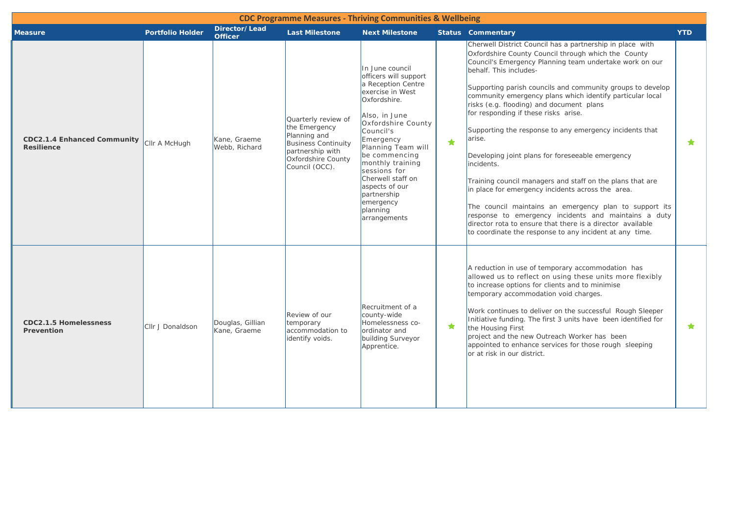|                                                         |                         |                                  |                                                                                                                                                | <b>CDC Programme Measures - Thriving Communities &amp; Wellbeing</b>                                                                                                                                                                                                                                                                          |            |                                                                                                                                                                                                                                                                                                                                                                                                                                                                                                                                                                                                                                                                                                                                                                                                                                                                                                                          |            |
|---------------------------------------------------------|-------------------------|----------------------------------|------------------------------------------------------------------------------------------------------------------------------------------------|-----------------------------------------------------------------------------------------------------------------------------------------------------------------------------------------------------------------------------------------------------------------------------------------------------------------------------------------------|------------|--------------------------------------------------------------------------------------------------------------------------------------------------------------------------------------------------------------------------------------------------------------------------------------------------------------------------------------------------------------------------------------------------------------------------------------------------------------------------------------------------------------------------------------------------------------------------------------------------------------------------------------------------------------------------------------------------------------------------------------------------------------------------------------------------------------------------------------------------------------------------------------------------------------------------|------------|
| <b>Measure</b>                                          | <b>Portfolio Holder</b> | Director/Lead<br><b>Officer</b>  | <b>Last Milestone</b>                                                                                                                          | <b>Next Milestone</b>                                                                                                                                                                                                                                                                                                                         |            | <b>Status</b> Commentary                                                                                                                                                                                                                                                                                                                                                                                                                                                                                                                                                                                                                                                                                                                                                                                                                                                                                                 | <b>YTD</b> |
| <b>CDC2.1.4 Enhanced Community</b><br><b>Resilience</b> | Cllr A McHugh           | Kane, Graeme<br>Webb, Richard    | Quarterly review of<br>the Emergency<br>Planning and<br><b>Business Continuity</b><br>partnership with<br>Oxfordshire County<br>Council (OCC). | In June council<br>officers will support<br>a Reception Centre<br>exercise in West<br>Oxfordshire.<br>Also, in June<br>Oxfordshire County<br>Council's<br>Emergency<br>Planning Team will<br>be commencing<br>monthly training<br>sessions for<br>Cherwell staff on<br>aspects of our<br>partnership<br>emergency<br>planning<br>arrangements | $\bigstar$ | Cherwell District Council has a partnership in place with<br>Oxfordshire County Council through which the County<br>Council's Emergency Planning team undertake work on our<br>behalf. This includes-<br>Supporting parish councils and community groups to develop<br>community emergency plans which identify particular local<br>risks (e.g. flooding) and document plans<br>for responding if these risks arise.<br>Supporting the response to any emergency incidents that<br>arise.<br>Developing joint plans for foreseeable emergency<br>incidents.<br>Training council managers and staff on the plans that are<br>in place for emergency incidents across the area.<br>The council maintains an emergency plan to support its<br>response to emergency incidents and maintains a duty<br>director rota to ensure that there is a director available<br>to coordinate the response to any incident at any time. | $\star$    |
| <b>CDC2.1.5 Homelessness</b><br>Prevention              | Cllr J Donaldson        | Douglas, Gillian<br>Kane, Graeme | Review of our<br>temporary<br>accommodation to<br>identify voids.                                                                              | Recruitment of a<br>county-wide<br>Homelessness co-<br>ordinator and<br>building Surveyor<br>Apprentice.                                                                                                                                                                                                                                      | $\star$    | A reduction in use of temporary accommodation has<br>allowed us to reflect on using these units more flexibly<br>to increase options for clients and to minimise<br>temporary accommodation void charges.<br>Work continues to deliver on the successful Rough Sleeper<br>Initiative funding. The first 3 units have been identified for<br>the Housing First<br>project and the new Outreach Worker has been<br>appointed to enhance services for those rough sleeping<br>or at risk in our district.                                                                                                                                                                                                                                                                                                                                                                                                                   | $\star$    |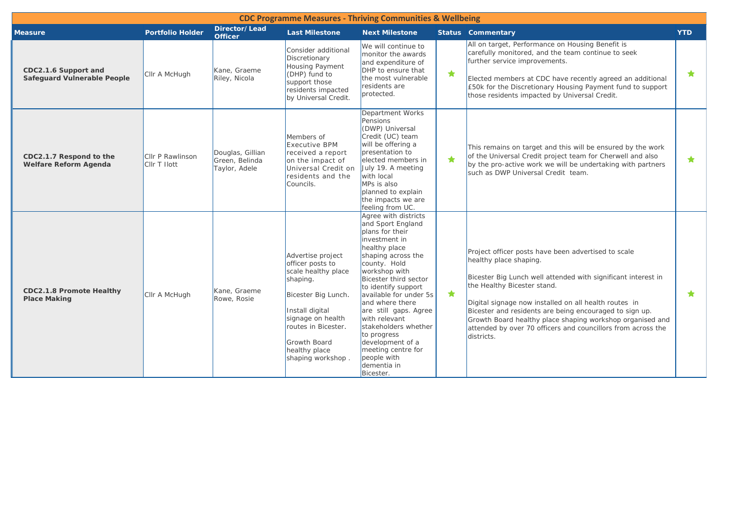|                                                        |                                  |                                                     |                                                                                                                                                                                                                             | <b>CDC Programme Measures - Thriving Communities &amp; Wellbeing</b>                                                                                                                                                                                                                                                                                                                                                     |            |                                                                                                                                                                                                                                                                                                                                                                                                                                              |            |
|--------------------------------------------------------|----------------------------------|-----------------------------------------------------|-----------------------------------------------------------------------------------------------------------------------------------------------------------------------------------------------------------------------------|--------------------------------------------------------------------------------------------------------------------------------------------------------------------------------------------------------------------------------------------------------------------------------------------------------------------------------------------------------------------------------------------------------------------------|------------|----------------------------------------------------------------------------------------------------------------------------------------------------------------------------------------------------------------------------------------------------------------------------------------------------------------------------------------------------------------------------------------------------------------------------------------------|------------|
| <b>Measure</b>                                         | <b>Portfolio Holder</b>          | Director/Lead<br><b>Officer</b>                     | <b>Last Milestone</b>                                                                                                                                                                                                       | <b>Next Milestone</b>                                                                                                                                                                                                                                                                                                                                                                                                    |            | <b>Status Commentary</b>                                                                                                                                                                                                                                                                                                                                                                                                                     | <b>YTD</b> |
| CDC2.1.6 Support and<br>Safeguard Vulnerable People    | Cllr A McHugh                    | Kane, Graeme<br>Riley, Nicola                       | Consider additional<br>Discretionary<br><b>Housing Payment</b><br>(DHP) fund to<br>support those<br>residents impacted<br>by Universal Credit.                                                                              | We will continue to<br>monitor the awards<br>and expenditure of<br>DHP to ensure that<br>the most vulnerable<br>residents are<br>protected.                                                                                                                                                                                                                                                                              | $\bigstar$ | All on target, Performance on Housing Benefit is<br>carefully monitored, and the team continue to seek<br>further service improvements.<br>Elected members at CDC have recently agreed an additional<br>E50k for the Discretionary Housing Payment fund to support<br>those residents impacted by Universal Credit.                                                                                                                          | ★          |
| CDC2.1.7 Respond to the<br>Welfare Reform Agenda       | Cllr P Rawlinson<br>Cllr T Ilott | Douglas, Gillian<br>Green, Belinda<br>Taylor, Adele | Members of<br>Executive BPM<br>received a report<br>on the impact of<br>Universal Credit on<br>residents and the<br>Councils.                                                                                               | Department Works<br>Pensions<br>(DWP) Universal<br>Credit (UC) team<br>will be offering a<br>presentation to<br>elected members in<br>July 19. A meeting<br>with local<br>MPs is also<br>planned to explain<br>the impacts we are<br>feeling from UC.                                                                                                                                                                    | ★          | This remains on target and this will be ensured by the work<br>of the Universal Credit project team for Cherwell and also<br>by the pro-active work we will be undertaking with partners<br>such as DWP Universal Credit team.                                                                                                                                                                                                               | $\bigstar$ |
| <b>CDC2.1.8 Promote Healthy</b><br><b>Place Making</b> | Cllr A McHugh                    | Kane, Graeme<br>Rowe, Rosie                         | Advertise project<br>officer posts to<br>scale healthy place<br>shaping.<br>Bicester Big Lunch.<br>Install digital<br>signage on health<br>routes in Bicester.<br><b>Growth Board</b><br>healthy place<br>shaping workshop. | Agree with districts<br>and Sport England<br>plans for their<br>investment in<br>healthy place<br>shaping across the<br>county. Hold<br>workshop with<br>Bicester third sector<br>to identify support<br>available for under 5s<br>and where there<br>are still gaps. Agree<br>with relevant<br>stakeholders whether<br>to progress<br>development of a<br>meeting centre for<br>people with<br>dementia in<br>Bicester. | $\bigstar$ | Project officer posts have been advertised to scale<br>healthy place shaping.<br>Bicester Big Lunch well attended with significant interest in<br>the Healthy Bicester stand.<br>Digital signage now installed on all health routes in<br>Bicester and residents are being encouraged to sign up.<br>Growth Board healthy place shaping workshop organised and<br>attended by over 70 officers and councillors from across the<br>districts. | $\bigstar$ |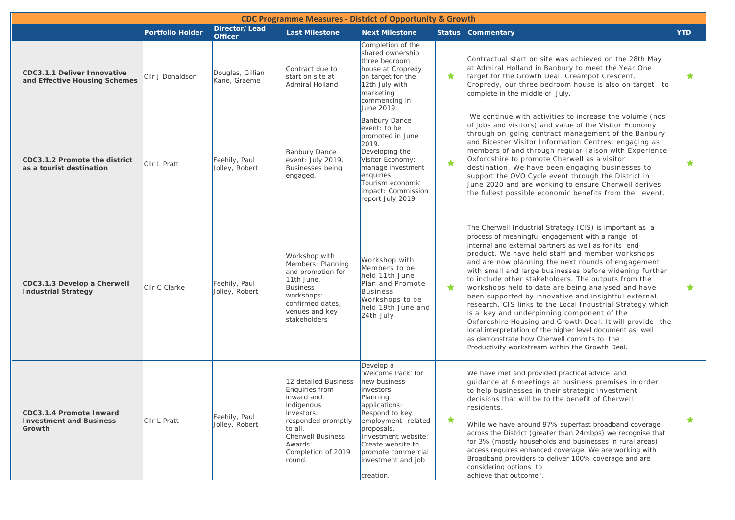|                                                                            | <b>CDC Programme Measures - District of Opportunity &amp; Growth</b> |                                  |                                                                                                                                                                                   |                                                                                                                                                                                                                                                       |            |                                                                                                                                                                                                                                                                                                                                                                                                                                                                                                                                                                                                                                                                                                                                                                                                                                                        |            |  |  |  |  |
|----------------------------------------------------------------------------|----------------------------------------------------------------------|----------------------------------|-----------------------------------------------------------------------------------------------------------------------------------------------------------------------------------|-------------------------------------------------------------------------------------------------------------------------------------------------------------------------------------------------------------------------------------------------------|------------|--------------------------------------------------------------------------------------------------------------------------------------------------------------------------------------------------------------------------------------------------------------------------------------------------------------------------------------------------------------------------------------------------------------------------------------------------------------------------------------------------------------------------------------------------------------------------------------------------------------------------------------------------------------------------------------------------------------------------------------------------------------------------------------------------------------------------------------------------------|------------|--|--|--|--|
|                                                                            | <b>Portfolio Holder</b>                                              | Director/Lead<br><b>Officer</b>  | <b>Last Milestone</b>                                                                                                                                                             | <b>Next Milestone</b>                                                                                                                                                                                                                                 |            | <b>Status Commentary</b>                                                                                                                                                                                                                                                                                                                                                                                                                                                                                                                                                                                                                                                                                                                                                                                                                               | <b>YTD</b> |  |  |  |  |
| <b>CDC3.1.1 Deliver Innovative</b><br>and Effective Housing Schemes        | Cllr J Donaldson                                                     | Douglas, Gillian<br>Kane, Graeme | Contract due to<br>start on site at<br>Admiral Holland                                                                                                                            | Completion of the<br>shared ownership<br>three bedroom<br>house at Cropredy<br>on target for the<br>12th July with<br>marketing<br>commencing in<br>June 2019.                                                                                        | ★          | Contractual start on site was achieved on the 28th May<br>at Admiral Holland in Banbury to meet the Year One<br>target for the Growth Deal. Creampot Crescent,<br>Cropredy, our three bedroom house is also on target to<br>complete in the middle of July.                                                                                                                                                                                                                                                                                                                                                                                                                                                                                                                                                                                            | $\star$    |  |  |  |  |
| CDC3.1.2 Promote the district<br>as a tourist destination                  | <b>CIIr L Pratt</b>                                                  | Feehily, Paul<br>Jolley, Robert  | <b>Banbury Dance</b><br>event: July 2019.<br>Businesses being<br>engaged.                                                                                                         | <b>Banbury Dance</b><br>event: to be<br>promoted in June<br>2019.<br>Developing the<br>Visitor Economy:<br>manage investment<br>enquiries.<br>Tourism economic<br>impact: Commission<br>report July 2019.                                             | $\bigstar$ | We continue with activities to increase the volume (nos<br>of jobs and visitors) and value of the Visitor Economy<br>through on-going contract management of the Banbury<br>and Bicester Visitor Information Centres, engaging as<br>members of and through regular liaison with Experience<br>Oxfordshire to promote Cherwell as a visitor<br>destination. We have been engaging businesses to<br>support the OVO Cycle event through the District in<br>June 2020 and are working to ensure Cherwell derives<br>the fullest possible economic benefits from the event.                                                                                                                                                                                                                                                                               | $\star$    |  |  |  |  |
| CDC3.1.3 Develop a Cherwell<br><b>Industrial Strategy</b>                  | <b>CIIr C Clarke</b>                                                 | Feehily, Paul<br>Jolley, Robert  | Workshop with<br>Members: Planning<br>and promotion for<br>11th June.<br><b>Business</b><br>workshops:<br>confirmed dates,<br>venues and key<br>stakeholders                      | Workshop with<br>Members to be<br>held 11th June<br>Plan and Promote<br><b>Business</b><br>Workshops to be<br>held 19th June and<br>24th July                                                                                                         | ★          | The Cherwell Industrial Strategy (CIS) is important as a<br>process of meaningful engagement with a range of<br>internal and external partners as well as for its end-<br>product. We have held staff and member workshops<br>and are now planning the next rounds of engagement<br>with small and large businesses before widening further<br>to include other stakeholders. The outputs from the<br>workshops held to date are being analysed and have<br>been supported by innovative and insightful external<br>research. CIS links to the Local Industrial Strategy which<br>is a key and underpinning component of the<br>Oxfordshire Housing and Growth Deal. It will provide the<br>local interpretation of the higher level document as well<br>as demonstrate how Cherwell commits to the<br>Productivity workstream within the Growth Deal. | $\bigstar$ |  |  |  |  |
| <b>CDC3.1.4 Promote Inward</b><br><b>Investment and Business</b><br>Growth | Cllr L Pratt                                                         | Feehily, Paul<br>Jolley, Robert  | 12 detailed Business<br>Enquiries from<br>inward and<br>indigenous<br>investors:<br>responded promptly<br>to all.<br>Cherwell Business<br>Awards:<br>Completion of 2019<br>round. | Develop a<br>'Welcome Pack' for<br>new business<br>investors.<br>Planning<br>applications:<br>Respond to key<br>employment-related<br>proposals.<br>Investment website:<br>Create website to<br>promote commercial<br>investment and job<br>creation. | ★          | We have met and provided practical advice and<br>guidance at 6 meetings at business premises in order<br>to help businesses in their strategic investment<br>decisions that will be to the benefit of Cherwell<br>residents.<br>While we have around 97% superfast broadband coverage<br>across the District (greater than 24mbps) we recognise that<br>for 3% (mostly households and businesses in rural areas)<br>access requires enhanced coverage. We are working with<br>Broadband providers to deliver 100% coverage and are<br>considering options to<br>achieve that outcome".                                                                                                                                                                                                                                                                 | ★          |  |  |  |  |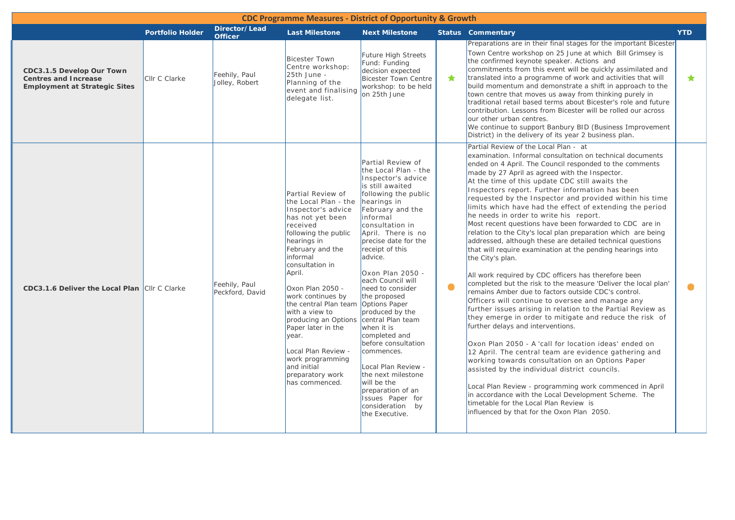|                                                                                                  |                         |                                  | <b>CDC Programme Measures - District of Opportunity &amp; Growth</b>                                                                                                                                                                                                                                                                                                                                                                                         |                                                                                                                                                                                                                                                                                                                                                                                                                                                                                                                                                                                               |            |                                                                                                                                                                                                                                                                                                                                                                                                                                                                                                                                                                                                                                                                                                                                                                                                                                                                                                                                                                                                                                                                                                                                                                                                                                                                                                                                                                                                                                                                                                                                                                                                          |            |
|--------------------------------------------------------------------------------------------------|-------------------------|----------------------------------|--------------------------------------------------------------------------------------------------------------------------------------------------------------------------------------------------------------------------------------------------------------------------------------------------------------------------------------------------------------------------------------------------------------------------------------------------------------|-----------------------------------------------------------------------------------------------------------------------------------------------------------------------------------------------------------------------------------------------------------------------------------------------------------------------------------------------------------------------------------------------------------------------------------------------------------------------------------------------------------------------------------------------------------------------------------------------|------------|----------------------------------------------------------------------------------------------------------------------------------------------------------------------------------------------------------------------------------------------------------------------------------------------------------------------------------------------------------------------------------------------------------------------------------------------------------------------------------------------------------------------------------------------------------------------------------------------------------------------------------------------------------------------------------------------------------------------------------------------------------------------------------------------------------------------------------------------------------------------------------------------------------------------------------------------------------------------------------------------------------------------------------------------------------------------------------------------------------------------------------------------------------------------------------------------------------------------------------------------------------------------------------------------------------------------------------------------------------------------------------------------------------------------------------------------------------------------------------------------------------------------------------------------------------------------------------------------------------|------------|
|                                                                                                  | <b>Portfolio Holder</b> | Director/Lead<br><b>Officer</b>  | <b>Last Milestone</b>                                                                                                                                                                                                                                                                                                                                                                                                                                        | <b>Next Milestone</b>                                                                                                                                                                                                                                                                                                                                                                                                                                                                                                                                                                         |            | <b>Status Commentary</b>                                                                                                                                                                                                                                                                                                                                                                                                                                                                                                                                                                                                                                                                                                                                                                                                                                                                                                                                                                                                                                                                                                                                                                                                                                                                                                                                                                                                                                                                                                                                                                                 | <b>YTD</b> |
| CDC3.1.5 Develop Our Town<br><b>Centres and Increase</b><br><b>Employment at Strategic Sites</b> | Cllr C Clarke           | Feehily, Paul<br>Jolley, Robert  | <b>Bicester Town</b><br>Centre workshop:<br>25th June -<br>Planning of the<br>event and finalising<br>delegate list.                                                                                                                                                                                                                                                                                                                                         | Future High Streets<br>Fund: Funding<br>decision expected<br><b>Bicester Town Centre</b><br>workshop: to be held<br>on 25th June                                                                                                                                                                                                                                                                                                                                                                                                                                                              | $\bigstar$ | Preparations are in their final stages for the important Bicester<br>Town Centre workshop on 25 June at which Bill Grimsey is<br>the confirmed keynote speaker. Actions and<br>commitments from this event will be quickly assimilated and<br>translated into a programme of work and activities that will<br>build momentum and demonstrate a shift in approach to the<br>town centre that moves us away from thinking purely in<br>traditional retail based terms about Bicester's role and future<br>contribution. Lessons from Bicester will be rolled our across<br>our other urban centres.<br>We continue to support Banbury BID (Business Improvement<br>District) in the delivery of its year 2 business plan.                                                                                                                                                                                                                                                                                                                                                                                                                                                                                                                                                                                                                                                                                                                                                                                                                                                                                  | $\bigstar$ |
| CDC3.1.6 Deliver the Local Plan Cllr C Clarke                                                    |                         | Feehily, Paul<br>Peckford, David | Partial Review of<br>the Local Plan - the<br>Inspector's advice<br>has not yet been<br>received<br>following the public<br>hearings in<br>February and the<br>informal<br>consultation in<br>April.<br>Oxon Plan 2050 -<br>work continues by<br>the central Plan team Options Paper<br>with a view to<br>producing an Options<br>Paper later in the<br>year.<br>Local Plan Review -<br>work programming<br>and initial<br>preparatory work<br>has commenced. | Partial Review of<br>the Local Plan - the<br>Inspector's advice<br>is still awaited<br>following the public<br>hearings in<br>February and the<br>informal<br>consultation in<br>April. There is no<br>precise date for the<br>receipt of this<br>advice.<br>Oxon Plan 2050 -<br>each Council will<br>need to consider<br>the proposed<br>produced by the<br>central Plan team<br>when it is<br>completed and<br>before consultation<br>commences.<br>Local Plan Review -<br>the next milestone<br>will be the<br>preparation of an<br>Issues Paper for<br>consideration by<br>the Executive. | $\bullet$  | Partial Review of the Local Plan - at<br>examination. Informal consultation on technical documents<br>ended on 4 April. The Council responded to the comments<br>made by 27 April as agreed with the Inspector.<br>At the time of this update CDC still awaits the<br>Inspectors report. Further information has been<br>requested by the Inspector and provided within his time<br>limits which have had the effect of extending the period<br>he needs in order to write his report.<br>Most recent questions have been forwarded to CDC are in<br>relation to the City's local plan preparation which are being<br>addressed, although these are detailed technical questions<br>that will require examination at the pending hearings into<br>the City's plan.<br>All work required by CDC officers has therefore been<br>completed but the risk to the measure 'Deliver the local plan'<br>remains Amber due to factors outside CDC's control.<br>Officers will continue to oversee and manage any<br>further issues arising in relation to the Partial Review as<br>they emerge in order to mitigate and reduce the risk of<br>further delays and interventions.<br>Oxon Plan 2050 - A 'call for location ideas' ended on<br>12 April. The central team are evidence gathering and<br>working towards consultation on an Options Paper<br>assisted by the individual district councils.<br>Local Plan Review - programming work commenced in April<br>in accordance with the Local Development Scheme. The<br>timetable for the Local Plan Review is<br>influenced by that for the Oxon Plan 2050. | $\bullet$  |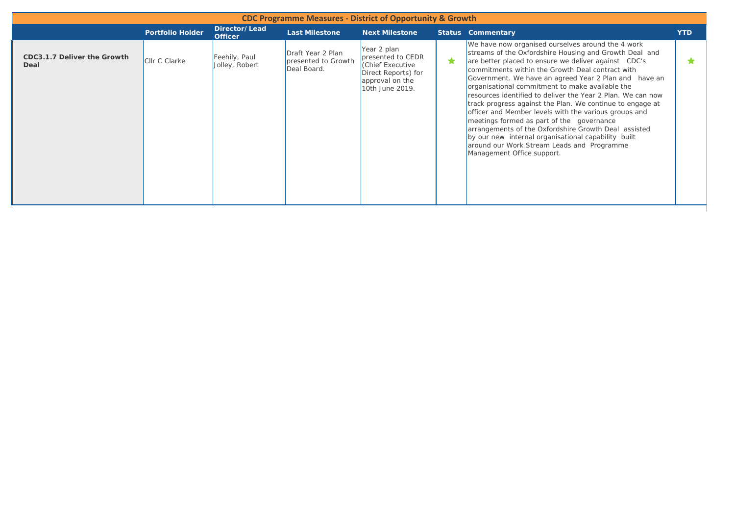| <b>CDC Programme Measures - District of Opportunity &amp; Growth</b> |                         |                                 |                                                         |                                                                                                                  |   |                                                                                                                                                                                                                                                                                                                                                                                                                                                                                                                                                                                                                                                                                                                                                                   |            |  |  |  |  |
|----------------------------------------------------------------------|-------------------------|---------------------------------|---------------------------------------------------------|------------------------------------------------------------------------------------------------------------------|---|-------------------------------------------------------------------------------------------------------------------------------------------------------------------------------------------------------------------------------------------------------------------------------------------------------------------------------------------------------------------------------------------------------------------------------------------------------------------------------------------------------------------------------------------------------------------------------------------------------------------------------------------------------------------------------------------------------------------------------------------------------------------|------------|--|--|--|--|
|                                                                      | <b>Portfolio Holder</b> | Director/Lead<br><b>Officer</b> | <b>Last Milestone</b>                                   | <b>Next Milestone</b>                                                                                            |   | <b>Status Commentary</b>                                                                                                                                                                                                                                                                                                                                                                                                                                                                                                                                                                                                                                                                                                                                          | <b>YTD</b> |  |  |  |  |
| CDC3.1.7 Deliver the Growth<br>Deal                                  | Cllr C Clarke           | Feehily, Paul<br>Jolley, Robert | Draft Year 2 Plan<br>presented to Growth<br>Deal Board. | Year 2 plan<br>presented to CEDR<br>Chief Executive<br>Direct Reports) for<br>approval on the<br>10th June 2019. | 食 | We have now organised ourselves around the 4 work<br>streams of the Oxfordshire Housing and Growth Deal and<br>are better placed to ensure we deliver against CDC's<br>commitments within the Growth Deal contract with<br>Government. We have an agreed Year 2 Plan and have an<br>organisational commitment to make available the<br>Iresources identified to deliver the Year 2 Plan. We can now<br>track progress against the Plan. We continue to engage at<br>officer and Member levels with the various groups and<br>meetings formed as part of the governance<br>arrangements of the Oxfordshire Growth Deal assisted<br>by our new internal organisational capability built<br>around our Work Stream Leads and Programme<br>Management Office support. | ÷          |  |  |  |  |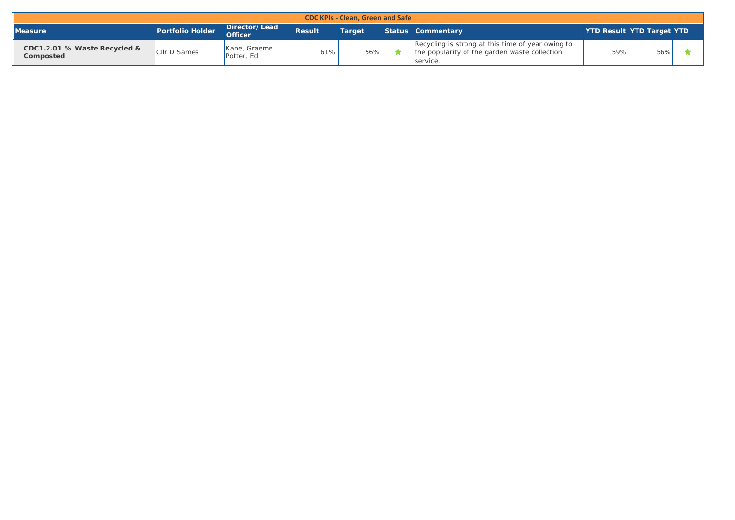| <b>CDC KPIs - Clean, Green and Safe</b>   |                         |                                 |               |               |  |                                                                                                                |     |                                  |  |  |  |
|-------------------------------------------|-------------------------|---------------------------------|---------------|---------------|--|----------------------------------------------------------------------------------------------------------------|-----|----------------------------------|--|--|--|
| Measure                                   | <b>Portfolio Holder</b> | Director/Lead<br><b>Officer</b> | <b>Result</b> | <b>Target</b> |  | Status Commentary                                                                                              |     | <b>YTD Result YTD Target YTD</b> |  |  |  |
| CDC1.2.01 % Waste Recycled &<br>Composted | <b>Cllr D Sames</b>     | Kane, Graeme<br>Potter, Ed      | 61%           | 56%           |  | Recycling is strong at this time of year owing to<br>the popularity of the garden waste collection<br>service. | 59% | 56%                              |  |  |  |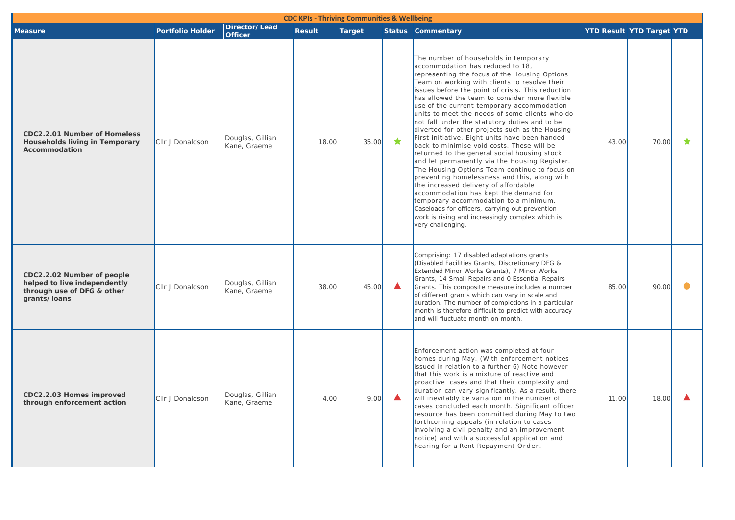| <b>CDC KPIs - Thriving Communities &amp; Wellbeing</b>                                                   |                         |                                  |               |               |   |                                                                                                                                                                                                                                                                                                                                                                                                                                                                                                                                                                                                                                                                                                                                                                                                                                                                                                                                                                                                                                                |                                  |       |   |  |
|----------------------------------------------------------------------------------------------------------|-------------------------|----------------------------------|---------------|---------------|---|------------------------------------------------------------------------------------------------------------------------------------------------------------------------------------------------------------------------------------------------------------------------------------------------------------------------------------------------------------------------------------------------------------------------------------------------------------------------------------------------------------------------------------------------------------------------------------------------------------------------------------------------------------------------------------------------------------------------------------------------------------------------------------------------------------------------------------------------------------------------------------------------------------------------------------------------------------------------------------------------------------------------------------------------|----------------------------------|-------|---|--|
| <b>Measure</b>                                                                                           | <b>Portfolio Holder</b> | Director/Lead<br><b>Officer</b>  | <b>Result</b> | <b>Target</b> |   | <b>Status Commentary</b>                                                                                                                                                                                                                                                                                                                                                                                                                                                                                                                                                                                                                                                                                                                                                                                                                                                                                                                                                                                                                       | <b>YTD Result YTD Target YTD</b> |       |   |  |
| <b>CDC2.2.01 Number of Homeless</b><br><b>Households living in Temporary</b><br>Accommodation            | Cllr J Donaldson        | Douglas, Gillian<br>Kane, Graeme | 18.00         | 35.00         | ★ | The number of households in temporary<br>accommodation has reduced to 18,<br>representing the focus of the Housing Options<br>Team on working with clients to resolve their<br>issues before the point of crisis. This reduction<br>has allowed the team to consider more flexible<br>use of the current temporary accommodation<br>units to meet the needs of some clients who do<br>not fall under the statutory duties and to be<br>diverted for other projects such as the Housing<br>First initiative. Eight units have been handed<br>back to minimise void costs. These will be<br>returned to the general social housing stock<br>and let permanently via the Housing Register.<br>The Housing Options Team continue to focus on<br>preventing homelessness and this, along with<br>the increased delivery of affordable<br>accommodation has kept the demand for<br>temporary accommodation to a minimum.<br>Caseloads for officers, carrying out prevention<br>work is rising and increasingly complex which is<br>very challenging. | 43.00                            | 70.00 | ★ |  |
| CDC2.2.02 Number of people<br>helped to live independently<br>through use of DFG & other<br>grants/loans | Cllr J Donaldson        | Douglas, Gillian<br>Kane, Graeme | 38.00         | 45.00         | ▲ | Comprising: 17 disabled adaptations grants<br>(Disabled Facilities Grants, Discretionary DFG &<br>Extended Minor Works Grants), 7 Minor Works<br>Grants, 14 Small Repairs and 0 Essential Repairs<br>Grants. This composite measure includes a number<br>of different grants which can vary in scale and<br>duration. The number of completions in a particular<br>month is therefore difficult to predict with accuracy<br>and will fluctuate month on month.                                                                                                                                                                                                                                                                                                                                                                                                                                                                                                                                                                                 | 85.00                            | 90.00 |   |  |
| CDC2.2.03 Homes improved<br>through enforcement action                                                   | CIIr J Donaldson        | Douglas, Gillian<br>Kane, Graeme | 4.00          | 9.00          | ▲ | Enforcement action was completed at four<br>homes during May. (With enforcement notices<br>issued in relation to a further 6) Note however<br>that this work is a mixture of reactive and<br>proactive cases and that their complexity and<br>duration can vary significantly. As a result, there<br>will inevitably be variation in the number of<br>cases concluded each month. Significant officer<br>resource has been committed during May to two<br>forthcoming appeals (in relation to cases<br>involving a civil penalty and an improvement<br>notice) and with a successful application and<br>hearing for a Rent Repayment Order.                                                                                                                                                                                                                                                                                                                                                                                                    | 11.00                            | 18.00 |   |  |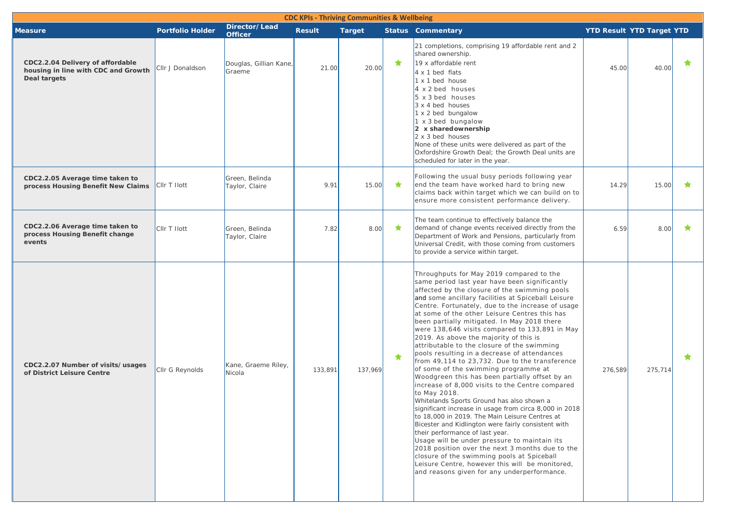| <b>CDC KPIs - Thriving Communities &amp; Wellbeing</b>                                  |                         |                                  |               |               |   |                                                                                                                                                                                                                                                                                                                                                                                                                                                                                                                                                                                                                                                                                                                                                                                                                                                                                                                                                                                                                                                                                                                                                                                                                                                                       |                                  |         |   |  |  |
|-----------------------------------------------------------------------------------------|-------------------------|----------------------------------|---------------|---------------|---|-----------------------------------------------------------------------------------------------------------------------------------------------------------------------------------------------------------------------------------------------------------------------------------------------------------------------------------------------------------------------------------------------------------------------------------------------------------------------------------------------------------------------------------------------------------------------------------------------------------------------------------------------------------------------------------------------------------------------------------------------------------------------------------------------------------------------------------------------------------------------------------------------------------------------------------------------------------------------------------------------------------------------------------------------------------------------------------------------------------------------------------------------------------------------------------------------------------------------------------------------------------------------|----------------------------------|---------|---|--|--|
| <b>Measure</b>                                                                          | <b>Portfolio Holder</b> | Director/Lead<br><b>Officer</b>  | <b>Result</b> | <b>Target</b> |   | <b>Status Commentary</b>                                                                                                                                                                                                                                                                                                                                                                                                                                                                                                                                                                                                                                                                                                                                                                                                                                                                                                                                                                                                                                                                                                                                                                                                                                              | <b>YTD Result YTD Target YTD</b> |         |   |  |  |
| CDC2.2.04 Delivery of affordable<br>housing in line with CDC and Growth<br>Deal targets | Cllr J Donaldson        | Douglas, Gillian Kane,<br>Graeme | 21.00         | 20.00         | ★ | 21 completions, comprising 19 affordable rent and 2<br>shared ownership.<br>$19x$ affordable rent<br>4 x 1 bed flats<br>1 x 1 bed house<br>4 x 2 bed houses<br>$5 \times 3$ bed houses<br>$3 \times 4$ bed houses<br>1 x 2 bed bungalow<br>$1 \times 3$ bed bungalow<br>$ 2 \times \text{sharedownership}$<br>$2 \times 3$ bed houses<br>None of these units were delivered as part of the<br>Oxfordshire Growth Deal; the Growth Deal units are<br>scheduled for later in the year.                                                                                                                                                                                                                                                                                                                                                                                                                                                                                                                                                                                                                                                                                                                                                                                  | 45.00                            | 40.00   | ★ |  |  |
| CDC2.2.05 Average time taken to<br>process Housing Benefit New Claims                   | CIIr T Ilott            | Green, Belinda<br>Taylor, Claire | 9.91          | 15.00         | ★ | Following the usual busy periods following year<br>end the team have worked hard to bring new<br>claims back within target which we can build on to<br>ensure more consistent performance delivery.                                                                                                                                                                                                                                                                                                                                                                                                                                                                                                                                                                                                                                                                                                                                                                                                                                                                                                                                                                                                                                                                   | 14.29                            | 15.00   | ★ |  |  |
| CDC2.2.06 Average time taken to<br>process Housing Benefit change<br>events             | Cllr T Ilott            | Green, Belinda<br>Taylor, Claire | 7.82          | 8.00          | ★ | The team continue to effectively balance the<br>demand of change events received directly from the<br>Department of Work and Pensions, particularly from<br>Universal Credit, with those coming from customers<br>to provide a service within target.                                                                                                                                                                                                                                                                                                                                                                                                                                                                                                                                                                                                                                                                                                                                                                                                                                                                                                                                                                                                                 | 6.59                             | 8.00    | ★ |  |  |
| CDC2.2.07 Number of visits/usages<br>of District Leisure Centre                         | Cllr G Reynolds         | Kane, Graeme Riley,<br>Nicola    | 133,891       | 137,969       | ★ | Throughputs for May 2019 compared to the<br>same period last year have been significantly<br>affected by the closure of the swimming pools<br>and some ancillary facilities at Spiceball Leisure<br>Centre. Fortunately, due to the increase of usage<br>at some of the other Leisure Centres this has<br>been partially mitigated. In May 2018 there<br>were 138,646 visits compared to 133,891 in May<br>2019. As above the majority of this is<br>attributable to the closure of the swimming<br>pools resulting in a decrease of attendances<br>from 49,114 to 23,732. Due to the transference<br>of some of the swimming programme at<br>Woodgreen this has been partially offset by an<br>increase of 8,000 visits to the Centre compared<br>to May 2018.<br>Whitelands Sports Ground has also shown a<br>significant increase in usage from circa 8,000 in 2018<br>to 18,000 in 2019. The Main Leisure Centres at<br>Bicester and Kidlington were fairly consistent with<br>their performance of last year.<br>Usage will be under pressure to maintain its<br>2018 position over the next 3 months due to the<br>closure of the swimming pools at Spiceball<br>Leisure Centre, however this will be monitored,<br>and reasons given for any underperformance. | 276,589                          | 275,714 | ★ |  |  |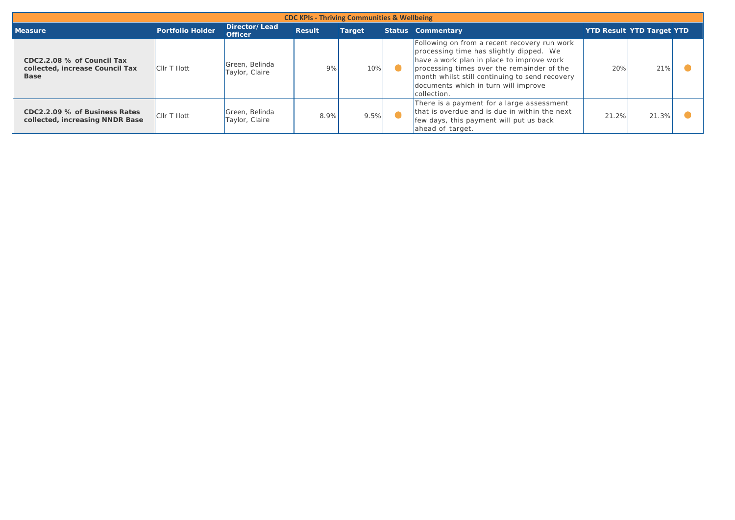| <b>CDC KPIs - Thriving Communities &amp; Wellbeing</b>                       |                         |                                  |               |               |  |                                                                                                                                                                                                                                                                                             |                                  |       |  |  |  |  |
|------------------------------------------------------------------------------|-------------------------|----------------------------------|---------------|---------------|--|---------------------------------------------------------------------------------------------------------------------------------------------------------------------------------------------------------------------------------------------------------------------------------------------|----------------------------------|-------|--|--|--|--|
| <b>Measure</b>                                                               | <b>Portfolio Holder</b> | Director/Lead<br><b>Officer</b>  | <b>Result</b> | <b>Target</b> |  | <b>Status Commentary</b>                                                                                                                                                                                                                                                                    | <b>YTD Result YTD Target YTD</b> |       |  |  |  |  |
| CDC2.2.08 % of Council Tax<br>collected, increase Council Tax<br><b>Base</b> | <b>Clir T Hott</b>      | Green, Belinda<br>Taylor, Claire | 9%            | 10%           |  | Following on from a recent recovery run work<br>processing time has slightly dipped. We<br>have a work plan in place to improve work<br>processing times over the remainder of the<br>month whilst still continuing to send recovery<br>documents which in turn will improve<br>collection. | 20%                              | 21%   |  |  |  |  |
| CDC2.2.09 % of Business Rates<br>collected, increasing NNDR Base             | <b>Clir T Hott</b>      | Green, Belinda<br>Taylor, Claire | 8.9%          | 9.5%          |  | There is a payment for a large assessment<br>that is overdue and is due in within the next<br>few days, this payment will put us back<br>ahead of target.                                                                                                                                   | 21.2%                            | 21.3% |  |  |  |  |